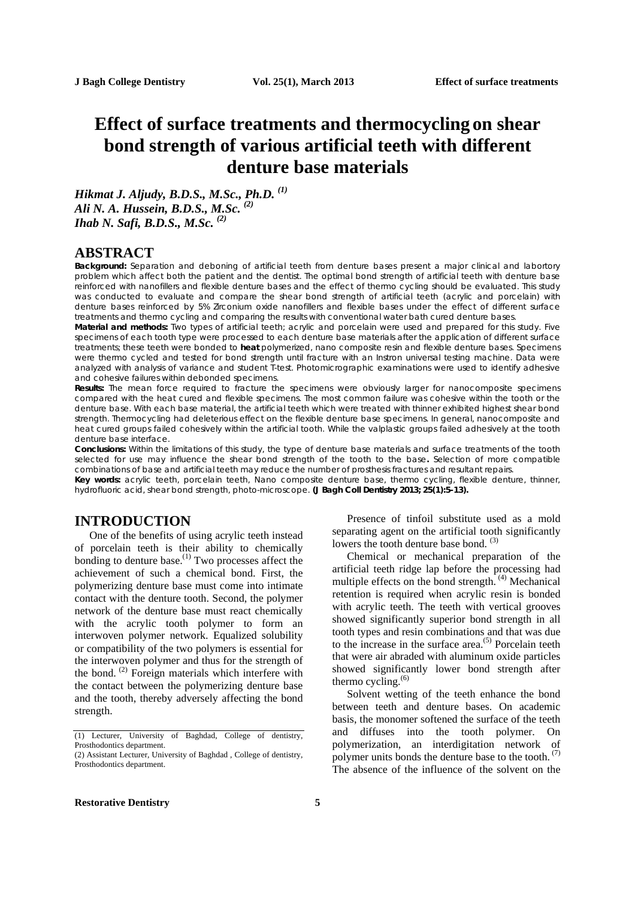# **Effect of surface treatments and thermocycling on shear bond strength of various artificial teeth with different denture base materials**

*Hikmat J. Aljudy, B.D.S., M.Sc., Ph.D. (1) Ali N. A. Hussein, B.D.S., M.Sc. (2) Ihab N. Safi, B.D.S., M.Sc. (2)*

# **ABSTRACT**

**Background:** Separation and deboning of artificial teeth from denture bases present a major clinical and labortory problem which affect both the patient and the dentist. The optimal bond strength of artificial teeth with denture base reinforced with nanofillers and flexible denture bases and the effect of thermo cycling should be evaluated. This study was conducted to evaluate and compare the shear bond strength of artificial teeth *(acrylic and porcelain)* with denture bases reinforced by 5% Zirconium oxide nanofillers and flexible bases under the effect of different surface treatments and thermo cycling and comparing the results with conventional water bath cured denture bases.

**Material and methods:** Two types of artificial teeth; acrylic and porcelain were used and prepared for this study. Five specimens of each tooth type were processed to each denture base materials after the application of different surface treatments; these teeth were bonded to **heat** polymerized, nano composite resin and flexible denture bases. Specimens were thermo cycled and tested for bond strength until fracture with an Instron universal testing machine. Data were analyzed with analysis of variance and student T-test. Photomicrographic examinations were used to identify adhesive and cohesive failures within debonded specimens.

**Results:** The mean force required to fracture the specimens were obviously larger for nanocomposite specimens compared with the heat cured and flexible specimens. The most common failure was cohesive within the tooth or the denture base. With each base material, the artificial teeth which were treated with thinner exhibited highest shear bond strength. Thermocycling had deleterious effect on the flexible denture base specimens. In general, nanocomposite and heat cured groups failed cohesively within the artificial tooth. While the valplastic groups failed adhesively at the tooth denture base interface.

**Conclusions:** Within the limitations of this study, the type of denture base materials and surface treatments of the tooth selected for use may influence the shear bond strength of the tooth to the base**.** Selection of more compatible combinations of base and artificial teeth may reduce the number of prosthesis fractures and resultant repairs.

**Key words:** acrylic teeth, porcelain teeth, Nano composite denture base, thermo cycling, flexible denture, thinner, hydrofluoric acid, shear bond strength, photo-microscope. **(J Bagh Coll Dentistry 2013; 25(1):5-13).**

# **INTRODUCTION**

One of the benefits of using acrylic teeth instead of porcelain teeth is their ability to chemically bonding to denture base.<sup>(1)</sup> Two processes affect the achievement of such a chemical bond. First, the polymerizing denture base must come into intimate contact with the denture tooth. Second, the polymer network of the denture base must react chemically with the acrylic tooth polymer to form an interwoven polymer network. Equalized solubility or compatibility of the two polymers is essential for the interwoven polymer and thus for the strength of the bond. (2) Foreign materials which interfere with the contact between the polymerizing denture base and the tooth, thereby adversely affecting the bond strength.

Presence of tinfoil substitute used as a mold separating agent on the artificial tooth significantly lowers the tooth denture base bond.  $(3)$ 

Chemical or mechanical preparation of the artificial teeth ridge lap before the processing had multiple effects on the bond strength.<sup>(4)</sup> Mechanical retention is required when acrylic resin is bonded with acrylic teeth. The teeth with vertical grooves showed significantly superior bond strength in all tooth types and resin combinations and that was due to the increase in the surface area. $(5)$  Porcelain teeth that were air abraded with aluminum oxide particles showed significantly lower bond strength after thermo cycling. (6)

Solvent wetting of the teeth enhance the bond between teeth and denture bases. On academic basis, the monomer softened the surface of the teeth and diffuses into the tooth polymer. On polymerization, an interdigitation network of polymer units bonds the denture base to the tooth.  $(7)$ The absence of the influence of the solvent on the

<sup>(1)</sup> Lecturer, University of Baghdad, College of dentistry, Prosthodontics department.

<sup>(2)</sup> Assistant Lecturer, University of Baghdad , College of dentistry, Prosthodontics department.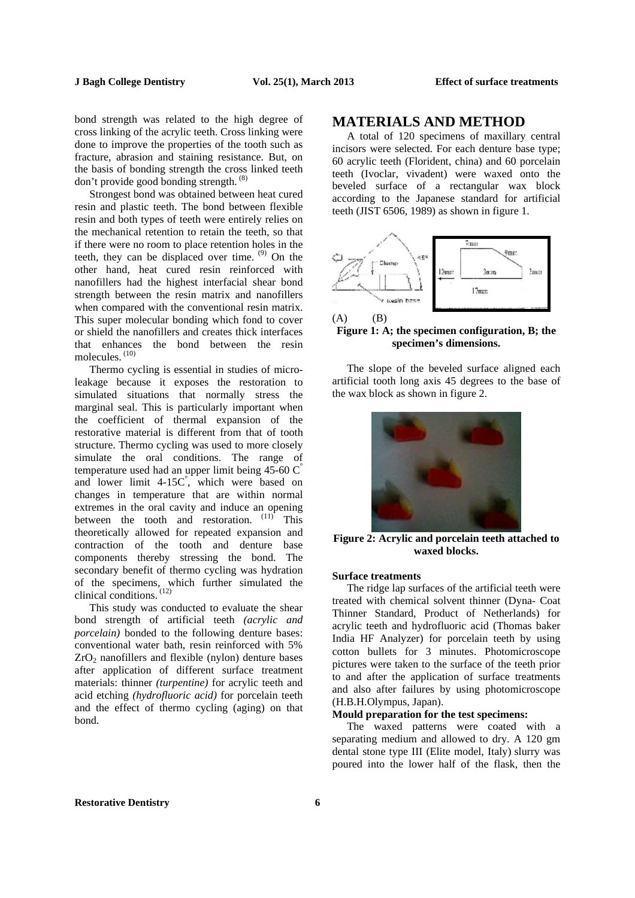bond strength was related to the high degree of cross linking of the acrylic teeth. Cross linking were done to improve the properties of the tooth such as fracture, abrasion and staining resistance. But, on the basis of bonding strength the cross linked teeth don't provide good bonding strength. (8)

Strongest bond was obtained between heat cured resin and plastic teeth. The bond between flexible resin and both types of teeth were entirely relies on the mechanical retention to retain the teeth, so that if there were no room to place retention holes in the teeth, they can be displaced over time.  $(9)$  On the other hand, heat cured resin reinforced with nanofillers had the highest interfacial shear bond strength between the resin matrix and nanofillers when compared with the conventional resin matrix. This super molecular bonding which fond to cover or shield the nanofillers and creates thick interfaces that enhances the bond between the resin molecules. (10)

Thermo cycling is essential in studies of microleakage because it exposes the restoration to simulated situations that normally stress the marginal seal. This is particularly important when the coefficient of thermal expansion of the restorative material is different from that of tooth structure. Thermo cycling was used to more closely simulate the oral conditions. The range of temperature used had an upper limit being  $45{\text -}60\text{ C}^{\degree}$ and lower limit 4-15C° , which were based on changes in temperature that are within normal extremes in the oral cavity and induce an opening between the tooth and restoration.  $(11)$  This theoretically allowed for repeated expansion and contraction of the tooth and denture base components thereby stressing the bond. The secondary benefit of thermo cycling was hydration of the specimens, which further simulated the clinical conditions. (12)

This study was conducted to evaluate the shear bond strength of artificial teeth *(acrylic and porcelain)* bonded to the following denture bases: conventional water bath, resin reinforced with 5%  $ZrO<sub>2</sub>$  nanofillers and flexible (nylon) denture bases after application of different surface treatment materials: thinner *(turpentine)* for acrylic teeth and acid etching *(hydrofluoric acid)* for porcelain teeth and the effect of thermo cycling (aging) on that bond.

# **MATERIALS AND METHOD**

A total of 120 specimens of maxillary central incisors were selected. For each denture base type; 60 acrylic teeth (Florident, china) and 60 porcelain teeth (Ivoclar, vivadent) were waxed onto the beveled surface of a rectangular wax block according to the Japanese standard for artificial teeth (JIST 6506, 1989) as shown in figure 1.



**Figure 1: A; the specimen configuration, B; the specimen's dimensions.** 

The slope of the beveled surface aligned each artificial tooth long axis 45 degrees to the base of the wax block as shown in figure 2.



**Figure 2: Acrylic and porcelain teeth attached to waxed blocks.** 

#### **Surface treatments**

The ridge lap surfaces of the artificial teeth were treated with chemical solvent thinner (Dyna- Coat Thinner Standard, Product of Netherlands) for acrylic teeth and hydrofluoric acid (Thomas baker India HF Analyzer) for porcelain teeth by using cotton bullets for 3 minutes. Photomicroscope pictures were taken to the surface of the teeth prior to and after the application of surface treatments and also after failures by using photomicroscope (H.B.H.Olympus, Japan).

### **Mould preparation for the test specimens:**

The waxed patterns were coated with a separating medium and allowed to dry. A 120 gm dental stone type III (Elite model, Italy) slurry was poured into the lower half of the flask, then the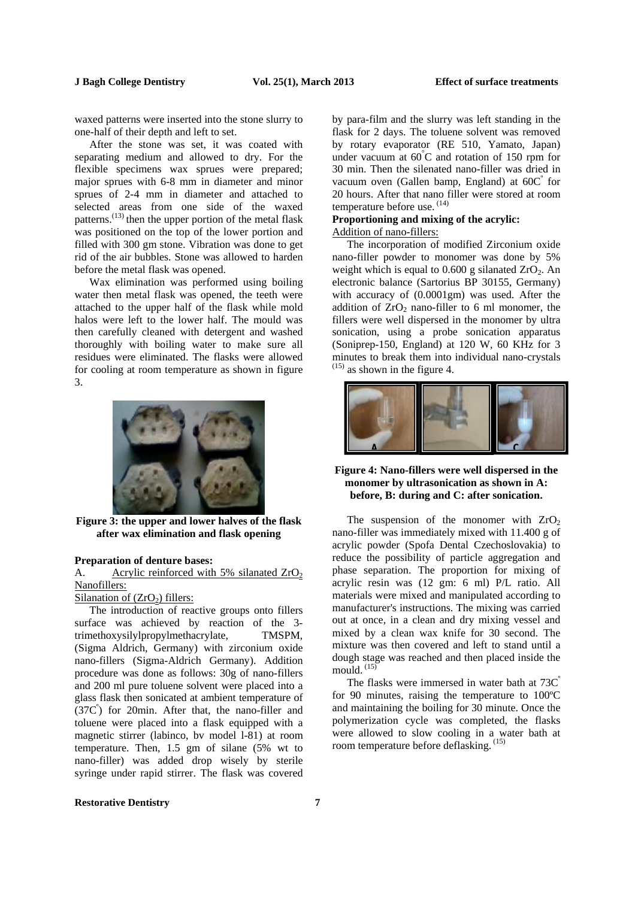waxed patterns were inserted into the stone slurry to one-half of their depth and left to set.

After the stone was set, it was coated with separating medium and allowed to dry. For the flexible specimens wax sprues were prepared; major sprues with 6-8 mm in diameter and minor sprues of 2-4 mm in diameter and attached to selected areas from one side of the waxed patterns.<sup>(13)</sup> then the upper portion of the metal flask was positioned on the top of the lower portion and filled with 300 gm stone. Vibration was done to get rid of the air bubbles. Stone was allowed to harden before the metal flask was opened.

Wax elimination was performed using boiling water then metal flask was opened, the teeth were attached to the upper half of the flask while mold halos were left to the lower half. The mould was then carefully cleaned with detergent and washed thoroughly with boiling water to make sure all residues were eliminated. The flasks were allowed for cooling at room temperature as shown in figure 3.



**Figure 3: the upper and lower halves of the flask after wax elimination and flask opening**

#### **Preparation of denture bases:**

A. Acrylic reinforced with 5% silanated  $ZrO<sub>2</sub>$ Nanofillers:

#### Silanation of  $(ZrO<sub>2</sub>)$  fillers:

The introduction of reactive groups onto fillers surface was achieved by reaction of the 3 trimethoxysilylpropylmethacrylate, TMSPM, (Sigma Aldrich, Germany) with zirconium oxide nano-fillers (Sigma-Aldrich Germany). Addition procedure was done as follows: 30g of nano-fillers and 200 ml pure toluene solvent were placed into a glass flask then sonicated at ambient temperature of  $(37C^{\degree})$  for 20min. After that, the nano-filler and toluene were placed into a flask equipped with a magnetic stirrer (labinco, bv model l-81) at room temperature. Then, 1.5 gm of silane (5% wt to nano-filler) was added drop wisely by sterile syringe under rapid stirrer. The flask was covered

by para-film and the slurry was left standing in the flask for 2 days. The toluene solvent was removed by rotary evaporator (RE 510, Yamato, Japan) under vacuum at 60°C and rotation of 150 rpm for 30 min. Then the silenated nano-filler was dried in vacuum oven (Gallen bamp, England) at  $60C^{\degree}$  for 20 hours. After that nano filler were stored at room temperature before use. (14)

### **Proportioning and mixing of the acrylic:**  Addition of nano-fillers:

The incorporation of modified Zirconium oxide nano-filler powder to monomer was done by 5% weight which is equal to  $0.600$  g silanated  $ZrO<sub>2</sub>$ . An electronic balance (Sartorius BP 30155, Germany) with accuracy of (0.0001gm) was used. After the addition of  $ZrO<sub>2</sub>$  nano-filler to 6 ml monomer, the fillers were well dispersed in the monomer by ultra sonication, using a probe sonication apparatus (Soniprep-150, England) at 120 W, 60 KHz for 3 minutes to break them into individual nano-crystals  $^{(15)}$  as shown in the figure 4.



### **Figure 4: Nano-fillers were well dispersed in the monomer by ultrasonication as shown in A: before, B: during and C: after sonication.**

The suspension of the monomer with  $ZrO<sub>2</sub>$ nano-filler was immediately mixed with 11.400 g of acrylic powder (Spofa Dental Czechoslovakia) to reduce the possibility of particle aggregation and phase separation. The proportion for mixing of acrylic resin was (12 gm: 6 ml) P/L ratio. All materials were mixed and manipulated according to manufacturer's instructions. The mixing was carried out at once, in a clean and dry mixing vessel and mixed by a clean wax knife for 30 second. The mixture was then covered and left to stand until a dough stage was reached and then placed inside the mould. (15)

The flasks were immersed in water bath at 73C<sup>°</sup> for 90 minutes, raising the temperature to 100ºC and maintaining the boiling for 30 minute. Once the polymerization cycle was completed, the flasks were allowed to slow cooling in a water bath at room temperature before deflasking.<sup>(15)</sup>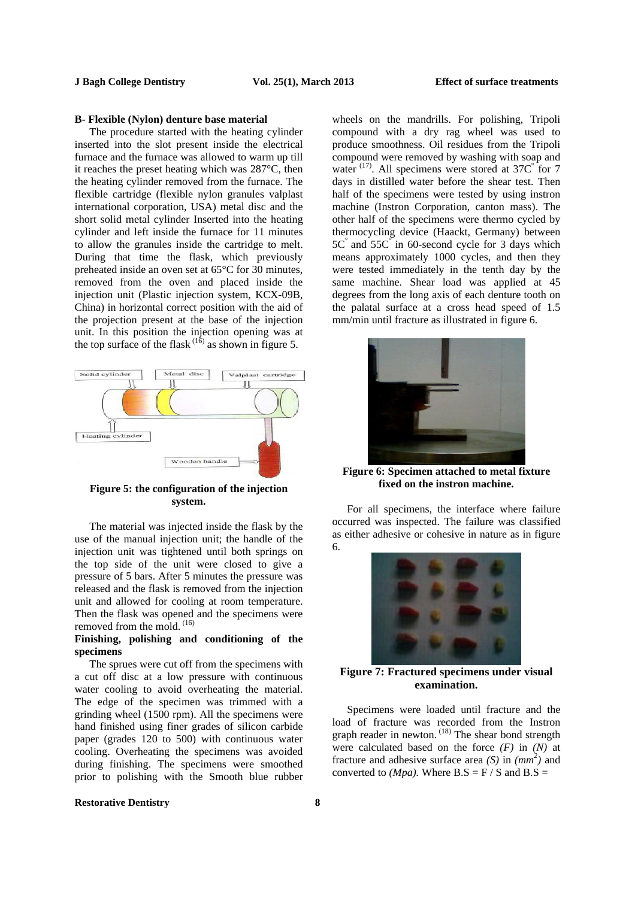#### **J Bagh College Dentistry Vol. 25(1), March 2013 Effect of surface treatments**

#### **B- Flexible (Nylon) denture base material**

The procedure started with the heating cylinder inserted into the slot present inside the electrical furnace and the furnace was allowed to warm up till it reaches the preset heating which was 287°C, then the heating cylinder removed from the furnace. The flexible cartridge (flexible nylon granules valplast international corporation, USA) metal disc and the short solid metal cylinder Inserted into the heating cylinder and left inside the furnace for 11 minutes to allow the granules inside the cartridge to melt. During that time the flask, which previously preheated inside an oven set at 65°C for 30 minutes, removed from the oven and placed inside the injection unit (Plastic injection system, KCX-09B, China) in horizontal correct position with the aid of the projection present at the base of the injection unit. In this position the injection opening was at the top surface of the flask  $(1\delta)$  as shown in figure 5.



**Figure 5: the configuration of the injection system.** 

The material was injected inside the flask by the use of the manual injection unit; the handle of the injection unit was tightened until both springs on the top side of the unit were closed to give a pressure of 5 bars. After 5 minutes the pressure was released and the flask is removed from the injection unit and allowed for cooling at room temperature. Then the flask was opened and the specimens were removed from the mold.<sup>(16)</sup>

### **Finishing, polishing and conditioning of the specimens**

The sprues were cut off from the specimens with a cut off disc at a low pressure with continuous water cooling to avoid overheating the material. The edge of the specimen was trimmed with a grinding wheel (1500 rpm). All the specimens were hand finished using finer grades of silicon carbide paper (grades 120 to 500) with continuous water cooling. Overheating the specimens was avoided during finishing. The specimens were smoothed prior to polishing with the Smooth blue rubber wheels on the mandrills. For polishing, Tripoli compound with a dry rag wheel was used to produce smoothness. Oil residues from the Tripoli compound were removed by washing with soap and water<sup>(17)</sup>. All specimens were stored at 37C<sup>°</sup> for 7 days in distilled water before the shear test. Then half of the specimens were tested by using instron machine (Instron Corporation, canton mass). The other half of the specimens were thermo cycled by thermocycling device (Haackt, Germany) between 5C° and 55C° in 60-second cycle for 3 days which means approximately 1000 cycles, and then they were tested immediately in the tenth day by the same machine. Shear load was applied at 45 degrees from the long axis of each denture tooth on the palatal surface at a cross head speed of 1.5 mm/min until fracture as illustrated in figure 6.



**Figure 6: Specimen attached to metal fixture fixed on the instron machine.** 

For all specimens, the interface where failure occurred was inspected. The failure was classified as either adhesive or cohesive in nature as in figure 6.



**Figure 7: Fractured specimens under visual examination.** 

Specimens were loaded until fracture and the load of fracture was recorded from the Instron graph reader in newton.<sup>(18)</sup> The shear bond strength were calculated based on the force  $(F)$  in  $(N)$  at fracture and adhesive surface area *(S)* in  $(mm^2)$  and converted to *(Mpa)*. Where  $B.S = F / S$  and  $B.S =$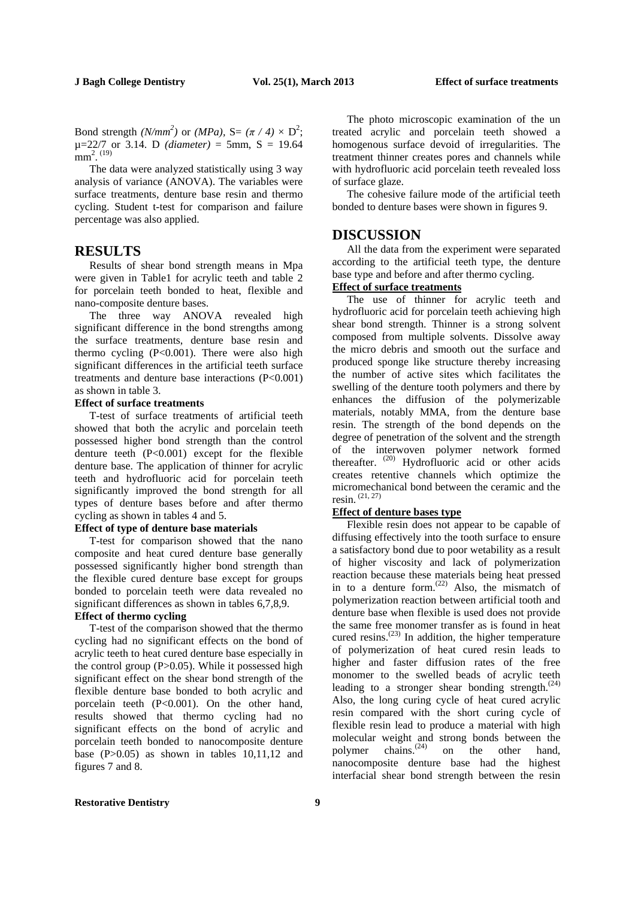Bond strength *(N/mm<sup>2</sup>)* or *(MPa)*, S=  $(\pi / 4) \times D^2$ ;  $\mu$ =22/7 or 3.14. D *(diameter)* = 5mm, S = 19.64  $mm^2$ .  $(19)$ 

The data were analyzed statistically using 3 way analysis of variance (ANOVA). The variables were surface treatments, denture base resin and thermo cycling. Student t-test for comparison and failure percentage was also applied.

# **RESULTS**

Results of shear bond strength means in Mpa were given in Table1 for acrylic teeth and table 2 for porcelain teeth bonded to heat, flexible and nano-composite denture bases.

The three way ANOVA revealed high significant difference in the bond strengths among the surface treatments, denture base resin and thermo cycling  $(P<0.001)$ . There were also high significant differences in the artificial teeth surface treatments and denture base interactions (P<0.001) as shown in table 3.

# **Effect of surface treatments**

T-test of surface treatments of artificial teeth showed that both the acrylic and porcelain teeth possessed higher bond strength than the control denture teeth  $(P<0.001)$  except for the flexible denture base. The application of thinner for acrylic teeth and hydrofluoric acid for porcelain teeth significantly improved the bond strength for all types of denture bases before and after thermo cycling as shown in tables 4 and 5.

#### **Effect of type of denture base materials**

T-test for comparison showed that the nano composite and heat cured denture base generally possessed significantly higher bond strength than the flexible cured denture base except for groups bonded to porcelain teeth were data revealed no significant differences as shown in tables 6,7,8,9.

# **Effect of thermo cycling**

T-test of the comparison showed that the thermo cycling had no significant effects on the bond of acrylic teeth to heat cured denture base especially in the control group (P>0.05). While it possessed high significant effect on the shear bond strength of the flexible denture base bonded to both acrylic and porcelain teeth (P<0.001). On the other hand, results showed that thermo cycling had no significant effects on the bond of acrylic and porcelain teeth bonded to nanocomposite denture base (P>0.05) as shown in tables 10,11,12 and figures 7 and 8.

The photo microscopic examination of the un treated acrylic and porcelain teeth showed a homogenous surface devoid of irregularities. The treatment thinner creates pores and channels while with hydrofluoric acid porcelain teeth revealed loss of surface glaze.

The cohesive failure mode of the artificial teeth bonded to denture bases were shown in figures 9.

# **DISCUSSION**

All the data from the experiment were separated according to the artificial teeth type, the denture base type and before and after thermo cycling.

# **Effect of surface treatments**

The use of thinner for acrylic teeth and hydrofluoric acid for porcelain teeth achieving high shear bond strength. Thinner is a strong solvent composed from multiple solvents. Dissolve away the micro debris and smooth out the surface and produced sponge like structure thereby increasing the number of active sites which facilitates the swelling of the denture tooth polymers and there by enhances the diffusion of the polymerizable materials, notably MMA, from the denture base resin. The strength of the bond depends on the degree of penetration of the solvent and the strength of the interwoven polymer network formed thereafter.<sup>(20)</sup> Hydrofluoric acid or other acids creates retentive channels which optimize the micromechanical bond between the ceramic and the resin. (21, 27)

#### **Effect of denture bases type**

Flexible resin does not appear to be capable of diffusing effectively into the tooth surface to ensure a satisfactory bond due to poor wetability as a result of higher viscosity and lack of polymerization reaction because these materials being heat pressed in to a denture form.<sup> $(22)$ </sup> Also, the mismatch of polymerization reaction between artificial tooth and denture base when flexible is used does not provide the same free monomer transfer as is found in heat cured resins. $(23)$  In addition, the higher temperature of polymerization of heat cured resin leads to higher and faster diffusion rates of the free monomer to the swelled beads of acrylic teeth leading to a stronger shear bonding strength. $(24)$ Also, the long curing cycle of heat cured acrylic resin compared with the short curing cycle of flexible resin lead to produce a material with high molecular weight and strong bonds between the polymer chains. $^{(24)}$ on the other hand, nanocomposite denture base had the highest interfacial shear bond strength between the resin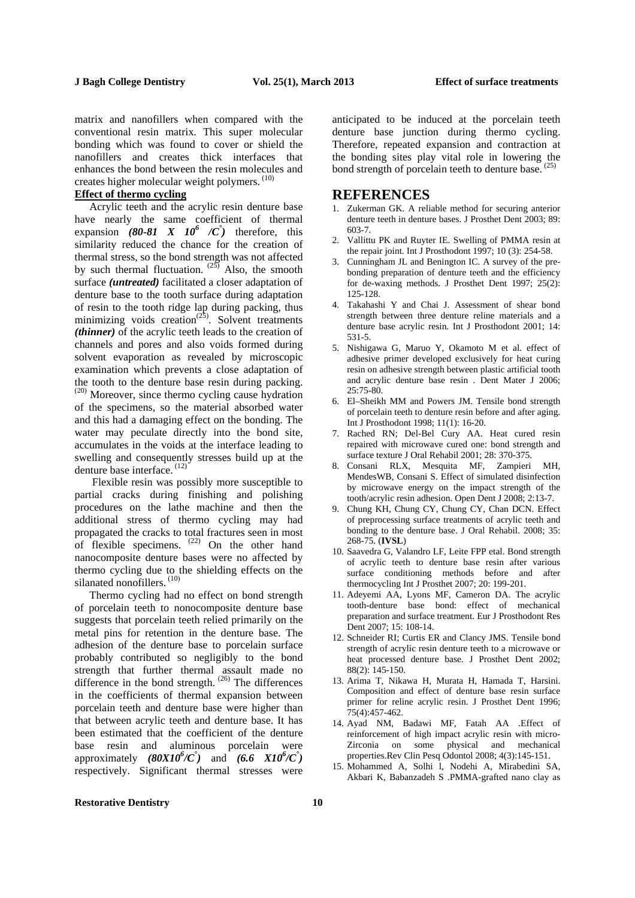matrix and nanofillers when compared with the conventional resin matrix. This super molecular bonding which was found to cover or shield the nanofillers and creates thick interfaces that enhances the bond between the resin molecules and creates higher molecular weight polymers.  $(10)$ 

# **Effect of thermo cycling**

Acrylic teeth and the acrylic resin denture base have nearly the same coefficient of thermal expansion  $(80-81 \times 10^6 \times \)$  therefore, this similarity reduced the chance for the creation of thermal stress, so the bond strength was not affected by such thermal fluctuation.  $^{(25)}$  Also, the smooth surface *(untreated)* facilitated a closer adaptation of denture base to the tooth surface during adaptation of resin to the tooth ridge lap during packing, thus minimizing voids creation<sup> $(25)$ </sup>. Solvent treatments *(thinner)* of the acrylic teeth leads to the creation of channels and pores and also voids formed during solvent evaporation as revealed by microscopic examination which prevents a close adaptation of the tooth to the denture base resin during packing. (20) Moreover, since thermo cycling cause hydration of the specimens, so the material absorbed water and this had a damaging effect on the bonding. The water may peculate directly into the bond site, accumulates in the voids at the interface leading to swelling and consequently stresses build up at the denture base interface.<sup>(12)</sup>

Flexible resin was possibly more susceptible to partial cracks during finishing and polishing procedures on the lathe machine and then the additional stress of thermo cycling may had propagated the cracks to total fractures seen in most of flexible specimens.  $(22)$  On the other hand nanocomposite denture bases were no affected by thermo cycling due to the shielding effects on the silanated nonofillers.<sup>(10)</sup>

Thermo cycling had no effect on bond strength of porcelain teeth to nonocomposite denture base suggests that porcelain teeth relied primarily on the metal pins for retention in the denture base. The adhesion of the denture base to porcelain surface probably contributed so negligibly to the bond strength that further thermal assault made no difference in the bond strength.  $(26)$  The differences in the coefficients of thermal expansion between porcelain teeth and denture base were higher than that between acrylic teeth and denture base. It has been estimated that the coefficient of the denture base resin and aluminous porcelain were approximately  $(80X10^6/C^*)$  and  $(6.6 \quad X10^6/C^*)$ respectively. Significant thermal stresses were anticipated to be induced at the porcelain teeth denture base junction during thermo cycling. Therefore, repeated expansion and contraction at the bonding sites play vital role in lowering the bond strength of porcelain teeth to denture base.  $(25)$ 

# **REFERENCES**

- 1. Zukerman GK. A reliable method for securing anterior denture teeth in denture bases. J Prosthet Dent 2003; 89: 603-7.
- 2. Vallittu PK and Ruyter IE. Swelling of PMMA resin at the repair joint. Int J Prosthodont 1997; 10 (3): 254-58.
- 3. Cunningham JL and Benington IC. A survey of the prebonding preparation of denture teeth and the efficiency for de-waxing methods. J Prosthet Dent 1997; 25(2): 125-128.
- 4. Takahashi Y and Chai J. Assessment of shear bond strength between three denture reline materials and a denture base acrylic resin. Int J Prosthodont 2001; 14: 531-5.
- 5. Nishigawa G, Maruo Y, Okamoto M et al. effect of adhesive primer developed exclusively for heat curing resin on adhesive strength between plastic artificial tooth and acrylic denture base resin . Dent Mater J 2006; 25:75-80.
- 6. El–Sheikh MM and Powers JM. Tensile bond strength of porcelain teeth to denture resin before and after aging. Int J Prosthodont 1998; 11(1): 16-20.
- 7. Rached RN; Del-Bel Cury AA. Heat cured resin repaired with microwave cured one: bond strength and surface texture J Oral Rehabil 2001; 28: 370-375.
- 8. Consani RLX, Mesquita MF, Zampieri MH, MendesWB, Consani S. Effect of simulated disinfection by microwave energy on the impact strength of the tooth/acrylic resin adhesion. Open Dent J 2008; 2:13-7.
- 9. Chung KH, Chung CY, Chung CY, Chan DCN. Effect of preprocessing surface treatments of acrylic teeth and bonding to the denture base. J Oral Rehabil. 2008; 35: 268-75. (**IVSL**)
- 10. Saavedra G, Valandro LF, Leite FPP etal. Bond strength of acrylic teeth to denture base resin after various surface conditioning methods before and after thermocycling Int J Prosthet 2007; 20: 199-201.
- 11. Adeyemi AA, Lyons MF, Cameron DA. The acrylic tooth-denture base bond: effect of mechanical preparation and surface treatment. Eur J Prosthodont Res Dent 2007; 15: 108-14.
- 12. Schneider RI; Curtis ER and Clancy JMS. Tensile bond strength of acrylic resin denture teeth to a microwave or heat processed denture base. J Prosthet Dent 2002; 88(2): 145-150.
- 13. Arima T, Nikawa H, Murata H, Hamada T, Harsini. Composition and effect of denture base resin surface primer for reline acrylic resin. J Prosthet Dent 1996; 75(4):457-462.
- 14. Ayad NM, Badawi MF, Fatah AA .Effect of reinforcement of high impact acrylic resin with micro-Zirconia on some physical and mechanical properties.Rev Clin Pesq Odontol 2008; 4(3):145-151.
- 15. Mohammed A, Solhi l, Nodehi A, Mirabedini SA, Akbari K, Babanzadeh S .PMMA-grafted nano clay as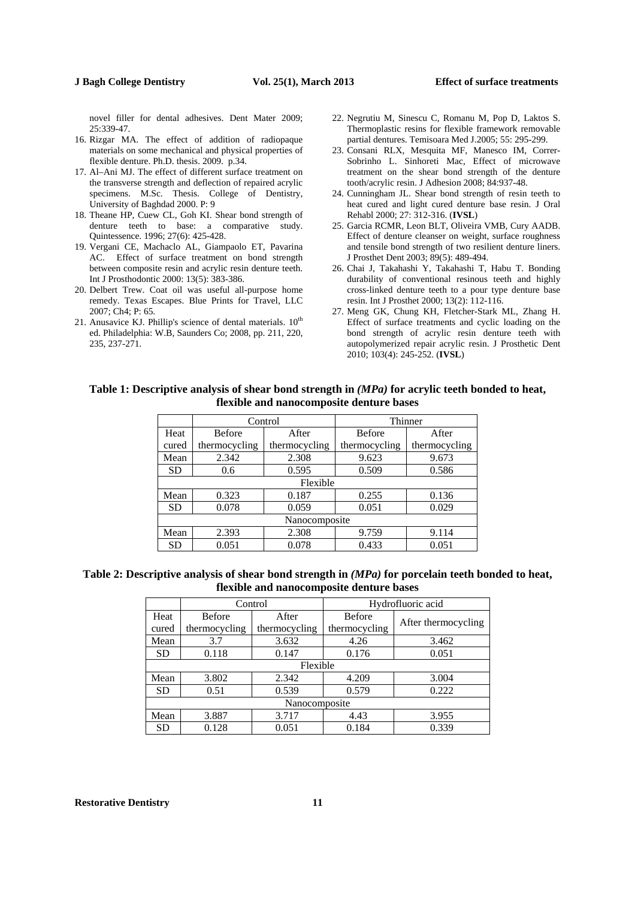novel filler for dental adhesives. Dent Mater 2009; 25:339-47.

- 16. Rizgar MA. The effect of addition of radiopaque materials on some mechanical and physical properties of flexible denture. Ph.D. thesis. 2009. p.34.
- 17. Al–Ani MJ. The effect of different surface treatment on the transverse strength and deflection of repaired acrylic specimens. M.Sc. Thesis. College of Dentistry, University of Baghdad 2000. P: 9
- 18. Theane HP, Cuew CL, Goh KI. Shear bond strength of denture teeth to base: a comparative study. Quintessence. 1996; 27(6): 425-428.
- 19. Vergani CE, Machaclo AL, Giampaolo ET, Pavarina AC. Effect of surface treatment on bond strength between composite resin and acrylic resin denture teeth. Int J Prosthodontic 2000: 13(5): 383-386.
- 20. Delbert Trew. Coat oil was useful all-purpose home remedy. Texas Escapes. Blue Prints for Travel, LLC 2007; Ch4; P: 65.
- 21. Anusavice KJ. Phillip's science of dental materials.  $10^{th}$ ed. Philadelphia: W.B, Saunders Co; 2008, pp. 211, 220, 235, 237-271.
- 22. Negrutiu M, Sinescu C, Romanu M, Pop D, Laktos S. Thermoplastic resins for flexible framework removable partial dentures. Temisoara Med J.2005; 55: 295-299.
- 23. Consani RLX, Mesquita MF, Manesco IM, Correr-Sobrinho L. Sinhoreti Mac, Effect of microwave treatment on the shear bond strength of the denture tooth/acrylic resin. J Adhesion 2008; 84:937-48.
- 24. Cunningham JL. Shear bond strength of resin teeth to heat cured and light cured denture base resin. J Oral Rehabl 2000; 27: 312-316. (**IVSL**)
- 25. Garcia RCMR, Leon BLT, Oliveira VMB, Cury AADB. Effect of denture cleanser on weight, surface roughness and tensile bond strength of two resilient denture liners. J Prosthet Dent 2003; 89(5): 489-494.
- 26. Chai J, Takahashi Y, Takahashi T, Habu T. Bonding durability of conventional resinous teeth and highly cross-linked denture teeth to a pour type denture base resin. Int J Prosthet 2000; 13(2): 112-116.
- 27. Meng GK, Chung KH, Fletcher-Stark ML, Zhang H. Effect of surface treatments and cyclic loading on the bond strength of acrylic resin denture teeth with autopolymerized repair acrylic resin. J Prosthetic Dent 2010; 103(4): 245-252. (**IVSL**)

# **Table 1: Descriptive analysis of shear bond strength in** *(MPa)* **for acrylic teeth bonded to heat, flexible and nanocomposite denture bases**

|           |               | Control       | Thinner       |               |  |  |  |  |
|-----------|---------------|---------------|---------------|---------------|--|--|--|--|
| Heat      | <b>Before</b> | After         | <b>Before</b> | After         |  |  |  |  |
| cured     | thermocycling | thermocycling | thermocycling | thermocycling |  |  |  |  |
| Mean      | 2.342         | 2.308         | 9.623         | 9.673         |  |  |  |  |
| <b>SD</b> | 0.6           | 0.595         | 0.509         | 0.586         |  |  |  |  |
|           | Flexible      |               |               |               |  |  |  |  |
| Mean      | 0.323         | 0.187         | 0.255         | 0.136         |  |  |  |  |
| <b>SD</b> | 0.078         | 0.059         | 0.051         | 0.029         |  |  |  |  |
|           | Nanocomposite |               |               |               |  |  |  |  |
| Mean      | 2.393         | 2.308         | 9.759         | 9.114         |  |  |  |  |
| <b>SD</b> | 0.051         | 0.078         | 0.433         | 0.051         |  |  |  |  |

**Table 2: Descriptive analysis of shear bond strength in** *(MPa)* **for porcelain teeth bonded to heat, flexible and nanocomposite denture bases** 

|               |               | Control       | Hydrofluoric acid |                     |  |  |  |  |
|---------------|---------------|---------------|-------------------|---------------------|--|--|--|--|
| Heat          | <b>Before</b> | After         | <b>Before</b>     | After thermocycling |  |  |  |  |
| cured         | thermocycling | thermocycling | thermocycling     |                     |  |  |  |  |
| Mean          | 3.7           | 3.632         | 4.26              | 3.462               |  |  |  |  |
| <b>SD</b>     | 0.118         | 0.147         | 0.176             | 0.051               |  |  |  |  |
| Flexible      |               |               |                   |                     |  |  |  |  |
| Mean          | 3.802         | 2.342         | 4.209             | 3.004               |  |  |  |  |
| <b>SD</b>     | 0.51          | 0.539         | 0.579             | 0.222               |  |  |  |  |
| Nanocomposite |               |               |                   |                     |  |  |  |  |
| Mean          | 3.887         | 3.717         | 4.43              | 3.955               |  |  |  |  |
| <b>SD</b>     | 0.128         | 0.051         | 0.184             | 0.339               |  |  |  |  |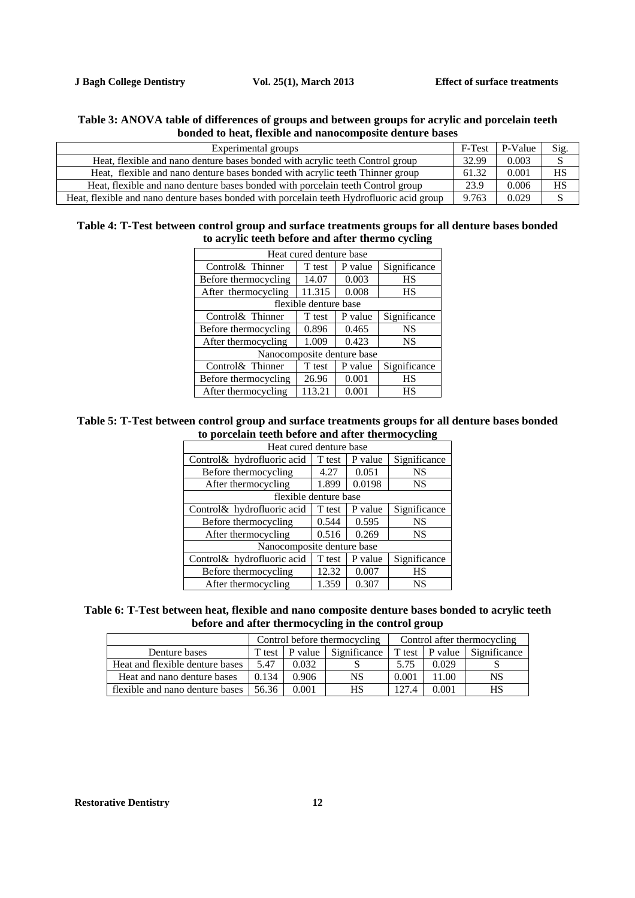# **Table 3: ANOVA table of differences of groups and between groups for acrylic and porcelain teeth bonded to heat, flexible and nanocomposite denture bases**

| Experimental groups                                                                       | F-Test | P-Value | Sig.      |
|-------------------------------------------------------------------------------------------|--------|---------|-----------|
| Heat, flexible and nano denture bases bonded with acrylic teeth Control group             | 32.99  | 0.003   |           |
| Heat, flexible and nano denture bases bonded with acrylic teeth Thinner group             | 61.32  | 0.001   | HS        |
| Heat, flexible and nano denture bases bonded with porcelain teeth Control group           | 23.9   | 0.006   | <b>HS</b> |
| Heat, flexible and nano denture bases bonded with porcelain teeth Hydrofluoric acid group | 9.763  | 0.029   |           |

# **Table 4: T-Test between control group and surface treatments groups for all denture bases bonded to acrylic teeth before and after thermo cycling**

| Heat cured denture base |                       |                            |              |  |  |  |
|-------------------------|-----------------------|----------------------------|--------------|--|--|--|
| Control& Thinner        | T test                | P value                    | Significance |  |  |  |
| Before thermocycling    | 14.07                 | 0.003                      | HS           |  |  |  |
| After thermocycling     | 11.315                | 0.008                      | HS           |  |  |  |
|                         | flexible denture base |                            |              |  |  |  |
| Control & Thinner       | T test                | P value                    | Significance |  |  |  |
| Before thermocycling    | 0.896                 | 0.465                      | <b>NS</b>    |  |  |  |
| After thermocycling     | 1.009                 | 0.423                      | <b>NS</b>    |  |  |  |
|                         |                       | Nanocomposite denture base |              |  |  |  |
| Control& Thinner        | T test                | P value                    | Significance |  |  |  |
| Before thermocycling    | 26.96                 | 0.001                      | HS           |  |  |  |
| After thermocycling     | 113.21                | 0.001                      | HS           |  |  |  |

# **Table 5: T-Test between control group and surface treatments groups for all denture bases bonded to porcelain teeth before and after thermocycling**

| Heat cured denture base     |                       |         |              |  |  |  |  |  |
|-----------------------------|-----------------------|---------|--------------|--|--|--|--|--|
| Control & hydrofluoric acid | T test                | P value | Significance |  |  |  |  |  |
| Before thermocycling        | 4.27                  | 0.051   | <b>NS</b>    |  |  |  |  |  |
| After thermocycling         | 1.899                 | 0.0198  | <b>NS</b>    |  |  |  |  |  |
|                             | flexible denture base |         |              |  |  |  |  |  |
| Control & hydrofluoric acid | T test                | P value | Significance |  |  |  |  |  |
| Before thermocycling        | 0.544                 | 0.595   | <b>NS</b>    |  |  |  |  |  |
| After thermocycling         | 0.516                 | 0.269   | <b>NS</b>    |  |  |  |  |  |
| Nanocomposite denture base  |                       |         |              |  |  |  |  |  |
| Control& hydrofluoric acid  | T test                | P value | Significance |  |  |  |  |  |
| Before thermocycling        | 12.32                 | 0.007   | <b>HS</b>    |  |  |  |  |  |
| After thermocycling         | 1.359                 | 0.307   | <b>NS</b>    |  |  |  |  |  |

# **Table 6: T-Test between heat, flexible and nano composite denture bases bonded to acrylic teeth before and after thermocycling in the control group**

|                                 | Control before thermocycling |         |              | Control after thermocycling |                |              |
|---------------------------------|------------------------------|---------|--------------|-----------------------------|----------------|--------------|
| Denture bases                   | T test                       | P value | Significance |                             | T test P value | Significance |
| Heat and flexible denture bases | 5.47                         | 0.032   |              | 5.75                        | 0.029          |              |
| Heat and nano denture bases     | 0.134                        | 0.906   | NS           | 0.001                       | 11.00          | NS           |
| flexible and nano denture bases | 56.36                        | 0.001   | HS           | 1274                        | 0.001          | HS           |